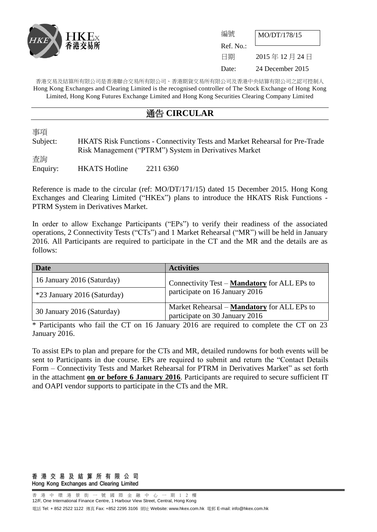

| 編號        | MO/DT/178/15     |
|-----------|------------------|
| Ref. No.: |                  |
| 日期        | 2015年12月24日      |
| Date:     | 24 December 2015 |

香港交易及結算所有限公司是香港聯合交易所有限公司、香港期貨交易所有限公司及香港中央結算有限公司之認可控制人 Hong Kong Exchanges and Clearing Limited is the recognised controller of The Stock Exchange of Hong Kong Limited, Hong Kong Futures Exchange Limited and Hong Kong Securities Clearing Company Limited

## 通告 **CIRCULAR**

事項

Subject: HKATS Risk Functions - Connectivity Tests and Market Rehearsal for Pre-Trade Risk Management ("PTRM") System in Derivatives Market 杳詢 Enquiry: HKATS Hotline 2211 6360

Reference is made to the circular (ref: MO/DT/171/15) dated 15 December 2015. Hong Kong Exchanges and Clearing Limited ("HKEx") plans to introduce the HKATS Risk Functions - PTRM System in Derivatives Market.

In order to allow Exchange Participants ("EPs") to verify their readiness of the associated operations, 2 Connectivity Tests ("CTs") and 1 Market Rehearsal ("MR") will be held in January 2016. All Participants are required to participate in the CT and the MR and the details are as follows:

| <b>Date</b>                 | <b>Activities</b>                                                                    |
|-----------------------------|--------------------------------------------------------------------------------------|
| 16 January 2016 (Saturday)  | Connectivity Test – Mandatory for ALL EPs to                                         |
| *23 January 2016 (Saturday) | participate on 16 January 2016                                                       |
| 30 January 2016 (Saturday)  | Market Rehearsal – <b>Mandatory</b> for ALL EPs to<br>participate on 30 January 2016 |

\* Participants who fail the CT on 16 January 2016 are required to complete the CT on 23 January 2016.

To assist EPs to plan and prepare for the CTs and MR, detailed rundowns for both events will be sent to Participants in due course. EPs are required to submit and return the "Contact Details Form – Connectivity Tests and Market Rehearsal for PTRM in Derivatives Market" as set forth in the attachment **on or before 6 January 2016**. Participants are required to secure sufficient IT and OAPI vendor supports to participate in the CTs and the MR.

#### 香 港 交 易 及 結 算 所 有 限 公 司 Hong Kong Exchanges and Clearing Limited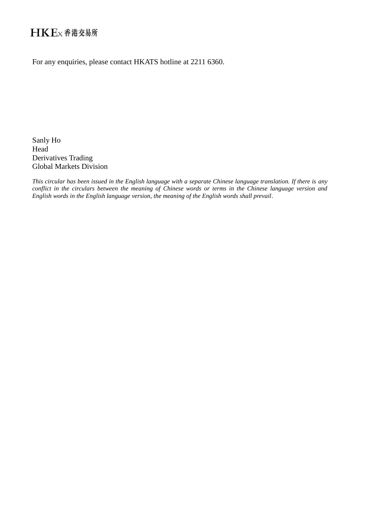# HKEx香港交易所

For any enquiries, please contact HKATS hotline at 2211 6360.

Sanly Ho Head Derivatives Trading Global Markets Division

*This circular has been issued in the English language with a separate Chinese language translation. If there is any conflict in the circulars between the meaning of Chinese words or terms in the Chinese language version and English words in the English language version, the meaning of the English words shall prevail.*